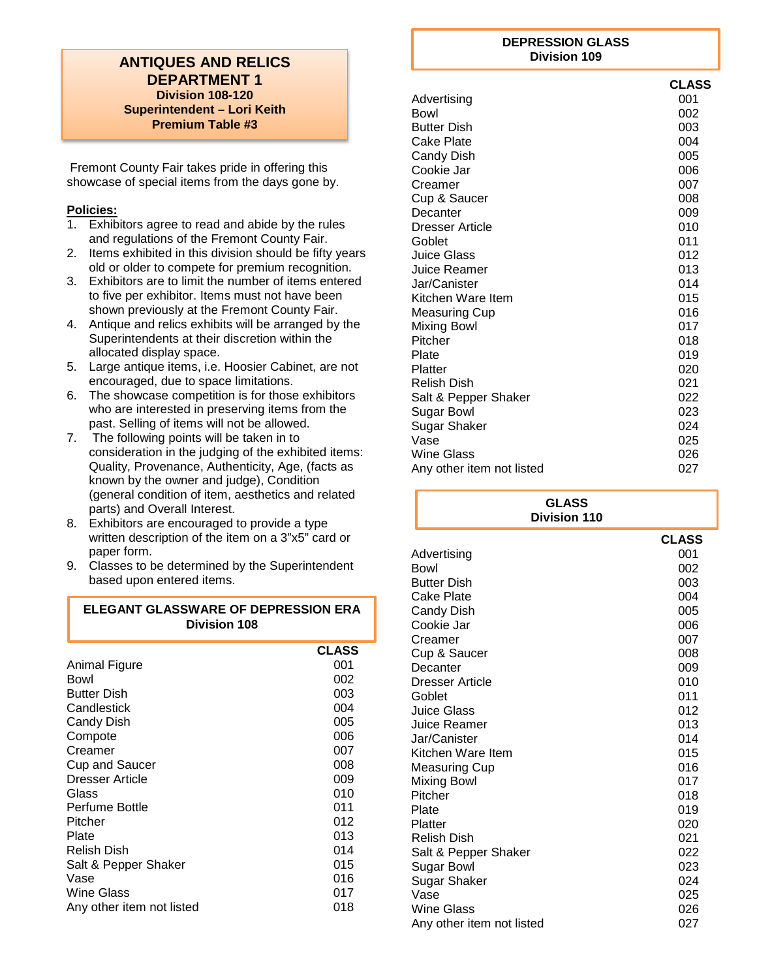#### **ANTIQUES AND RELICS DEPARTMENT 1 Division 108-120 Superintendent – Lori Keith Premium Table #3**

Fremont County Fair takes pride in offering this showcase of special items from the days gone by.

#### **Policies:**

- 1. Exhibitors agree to read and abide by the rules and regulations of the Fremont County Fair.
- 2. Items exhibited in this division should be fifty years old or older to compete for premium recognition.
- 3. Exhibitors are to limit the number of items entered to five per exhibitor. Items must not have been shown previously at the Fremont County Fair.
- 4. Antique and relics exhibits will be arranged by the Superintendents at their discretion within the allocated display space.
- 5. Large antique items, i.e. Hoosier Cabinet, are not encouraged, due to space limitations.
- 6. The showcase competition is for those exhibitors who are interested in preserving items from the past. Selling of items will not be allowed.
- 7. The following points will be taken in to consideration in the judging of the exhibited items: Quality, Provenance, Authenticity, Age, (facts as known by the owner and judge), Condition (general condition of item, aesthetics and related parts) and Overall Interest.
- 8. Exhibitors are encouraged to provide a type written description of the item on a 3"x5" card or paper form.
- 9. Classes to be determined by the Superintendent based upon entered items.

## **ELEGANT GLASSWARE OF DEPRESSION ERA Division 108**

|                           | <b>CLASS</b> |
|---------------------------|--------------|
| Animal Figure             | 001          |
| Bowl                      | 002          |
| <b>Butter Dish</b>        | 003          |
| Candlestick               | 004          |
| <b>Candy Dish</b>         | 005          |
| Compote                   | 006          |
| Creamer                   | 007          |
| <b>Cup and Saucer</b>     | 008          |
| <b>Dresser Article</b>    | 009          |
| Glass                     | 010          |
| Perfume Bottle            | 011          |
| Pitcher                   | 012          |
| Plate                     | 013          |
| Relish Dish               | 014          |
| Salt & Pepper Shaker      | 015          |
| Vase                      | 016          |
| Wine Glass                | 017          |
| Any other item not listed | 018          |

#### **DEPRESSION GLASS Division 109**

|                           | <b>CLASS</b> |
|---------------------------|--------------|
| Advertising               | 001          |
| Bowl                      | 002          |
| <b>Butter Dish</b>        | 003          |
| Cake Plate                | 004          |
| Candy Dish                | 005          |
| Cookie Jar                | 006          |
| Creamer                   | 007          |
| Cup & Saucer              | 008          |
| Decanter                  | 009          |
| Dresser Article           | 010          |
| Goblet                    | 011          |
| Juice Glass               | 012          |
| Juice Reamer              | 013          |
| Jar/Canister              | 014          |
| Kitchen Ware Item         | 015          |
| <b>Measuring Cup</b>      | 016          |
| <b>Mixing Bowl</b>        | 017          |
| Pitcher                   | 018          |
| Plate                     | 019          |
| Platter                   | 020          |
| <b>Relish Dish</b>        | 021          |
| Salt & Pepper Shaker      | 022          |
| Sugar Bowl                | 023          |
| Sugar Shaker              | 024          |
| Vase                      | 025          |
| Wine Glass                | 026          |
| Any other item not listed | 027          |

| <b>GLASS</b><br><b>Division 110</b> |              |
|-------------------------------------|--------------|
|                                     | <b>CLASS</b> |
| Advertising                         | 001          |
| Bowl                                | 002          |
| <b>Butter Dish</b>                  | 003          |
| Cake Plate                          | 004          |
| Candy Dish                          | 005          |
| Cookie Jar                          | 006          |
| Creamer                             | 007          |
| Cup & Saucer                        | 008          |
| Decanter                            | 009          |
| <b>Dresser Article</b>              | 010          |
| Goblet                              | 011          |
| Juice Glass                         | 012          |
| Juice Reamer                        | 013          |
| Jar/Canister                        | 014          |
| Kitchen Ware Item                   | 015          |
| <b>Measuring Cup</b>                | 016          |
| Mixing Bowl                         | 017          |
| Pitcher                             | 018          |
| Plate                               | 019          |
| Platter                             | 020          |
| <b>Relish Dish</b>                  | 021          |
| Salt & Pepper Shaker                | 022<br>023   |
| Sugar Bowl                          |              |
| <b>Sugar Shaker</b><br>Vase         | 024<br>025   |
| <b>Wine Glass</b>                   | 026          |
| Any other item not listed           | 027          |
|                                     |              |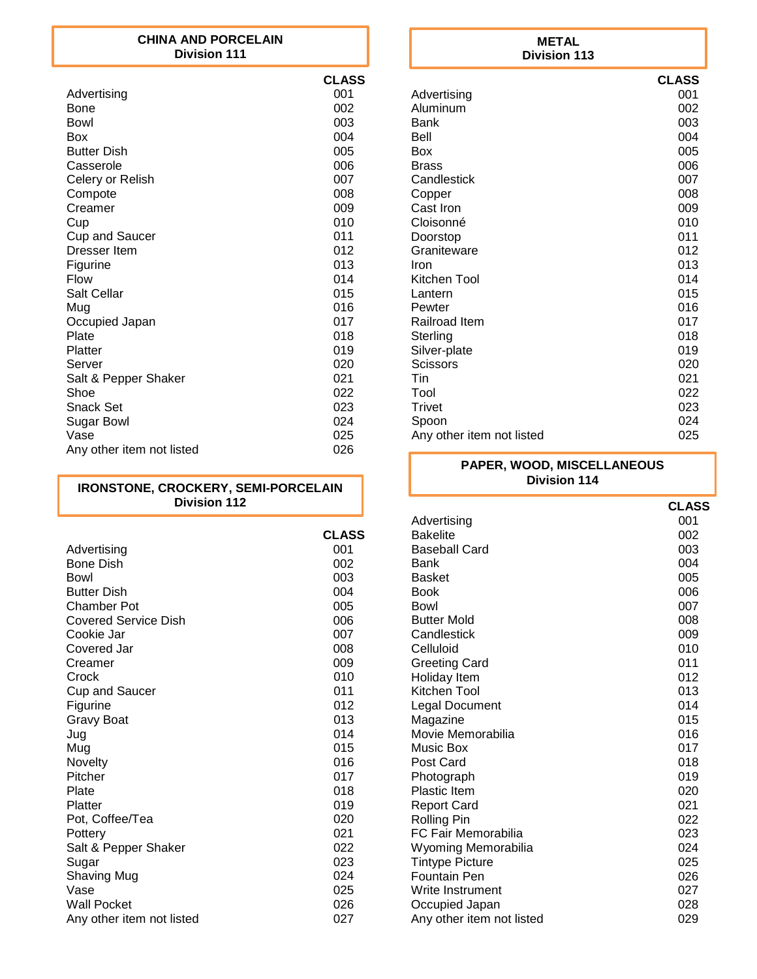#### **CHINA AND PORCELAIN Division 111**

|                           | <b>CLASS</b> |
|---------------------------|--------------|
| Advertising               | 001          |
| Bone                      | 002          |
| Bowl                      | 003          |
| Box                       | 004          |
| <b>Butter Dish</b>        | 005          |
| Casserole                 | 006          |
| Celery or Relish          | 007          |
| Compote                   | 008          |
| Creamer                   | 009          |
| Cup                       | 010          |
| <b>Cup and Saucer</b>     | 011          |
| Dresser Item              | 012          |
| Figurine                  | 013          |
| Flow                      | 014          |
| Salt Cellar               | 015          |
| Mug                       | 016          |
| Occupied Japan            | 017          |
| Plate                     | 018          |
| Platter                   | 019          |
| Server                    | 020          |
| Salt & Pepper Shaker      | 021          |
| Shoe                      | 022          |
| Snack Set                 | 023          |
| Sugar Bowl                | 024          |
| Vase                      | 025          |
| Any other item not listed | 026          |

#### **IRONSTONE, CROCKERY, SEMI-PORCELAIN Division 112**

|                           | <b>CLASS</b> |
|---------------------------|--------------|
| Advertising               | 001          |
| <b>Bone Dish</b>          | 002          |
| Bowl                      | 003          |
| <b>Butter Dish</b>        | 004          |
| Chamber Pot               | 005          |
| Covered Service Dish      | 006          |
| Cookie Jar                | 007          |
| Covered Jar               | 008          |
| Creamer                   | 009          |
| Crock                     | 010          |
| <b>Cup and Saucer</b>     | 011          |
| Figurine                  | 012          |
| <b>Gravy Boat</b>         | 013          |
| Jug                       | 014          |
| Mug                       | 015          |
| Novelty                   | 016          |
| Pitcher                   | 017          |
| Plate                     | 018          |
| Platter                   | 019          |
| Pot, Coffee/Tea           | 020          |
| Pottery                   | 021          |
| Salt & Pepper Shaker      | 022          |
| Sugar                     | 023<br>024   |
| Shaving Mug<br>Vase       | 025          |
| Wall Pocket               | 026          |
|                           | 027          |
| Any other item not listed |              |

#### **CLASS** Advertising 001<br>Aluminum 002 Aluminum 002<br>Bank 003 Bank 2003 Bell 004 Box 005 Brass 006 Candlestick 007<br>Copper 008 Copper 008<br>Cast Iron 009 Cast Iron 1999<br>Cloisonné 1999 - Cloisonné 1999 - 1999 - 1999 - 1999 - 1999 - 1999 - 1999 - 1999 - 1999 - 1999 - 1999 - 1999<br>Cloisonné 1999 - 1999 - 1999 - 1999 - 1999 - 1999 - 1999 - 1999 - 1999 - 1999 - 1999 - 1999 - 1999 Cloisonné d'Orléanse d'Orléanse de la partie de la partie de la partie de la partie de la partie de la partie<br>Constantin de la partie de la partie de la partie de la partie de la partie de la partie de la partie de la pa Doorstop Graniteware 012<br>
Iron 013 **Iron** 013 Kitchen Tool<br>Lantern 1988 - Containing the Containing Section 1989 - 1989 - 1989 - 1989 - 1989 - 1989 - 1989 - 1989 - 1989<br>Containing the Containing Section 1989 - 1989 - 1989 - 1989 - 1989 - 1989 - 1989 - 1989 - 1989 - 19 Lantern 015<br>
Pewter 016 Pewter 016<br>Railroad Item 6017 Railroad Item 617<br>Sterling 1018 1018 **Division 113**

#### Sterling 018<br>Silver-plate 019 Silver-plate 019<br>Scissors 020 Scissors Tin 021 Tool 022 Trivet 023 Spoon 024<br>Any other item not listed 6025 Any other item not listed

#### **PAPER, WOOD, MISCELLANEOUS Division 114**

|                           | <b>CLASS</b> |
|---------------------------|--------------|
| Advertising               | 001          |
| <b>Bakelite</b>           | 002          |
| Baseball Card             | 003          |
| Bank                      | 004          |
| <b>Basket</b>             | 005          |
| Book                      | 006          |
| Bowl                      | 007          |
| <b>Butter Mold</b>        | 008          |
| Candlestick               | 009          |
| Celluloid                 | 010          |
| <b>Greeting Card</b>      | 011          |
| Holiday Item              | 012          |
| Kitchen Tool              | 013          |
| Legal Document            | 014          |
| Magazine                  | 015          |
| Movie Memorabilia         | 016          |
| Music Box                 | 017          |
| Post Card                 | 018          |
| Photograph                | 019          |
| <b>Plastic Item</b>       | 020          |
| <b>Report Card</b>        | 021          |
| <b>Rolling Pin</b>        | 022          |
| FC Fair Memorabilia       | 023          |
| Wyoming Memorabilia       | 024          |
| <b>Tintype Picture</b>    | 025          |
| <b>Fountain Pen</b>       | 026          |
| Write Instrument          | 027          |
| Occupied Japan            | 028          |
| Any other item not listed | 029          |
|                           |              |

# **METAL**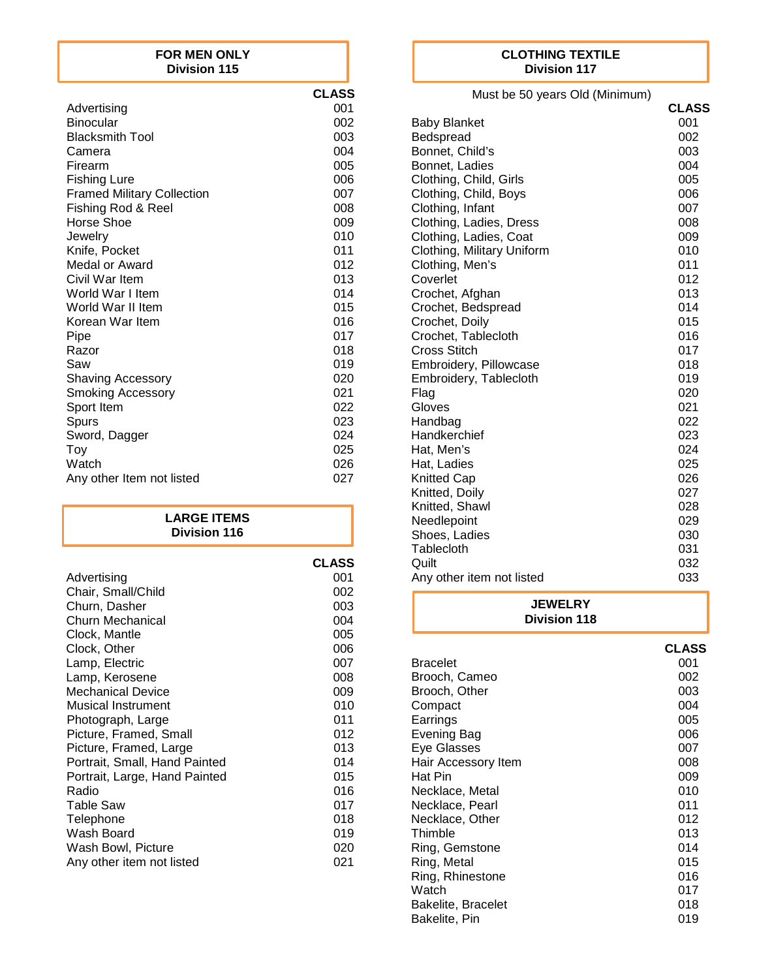#### **FOR MEN ONLY Division 115**

|                                   | <b>CLASS</b> |
|-----------------------------------|--------------|
| Advertising                       | 001          |
| <b>Binocular</b>                  | 002          |
| <b>Blacksmith Tool</b>            | 003          |
| Camera                            | 004          |
| Firearm                           | 005          |
| <b>Fishing Lure</b>               | 006          |
| <b>Framed Military Collection</b> | 007          |
| Fishing Rod & Reel                | 008          |
| Horse Shoe                        | 009          |
| Jewelry                           | 010          |
| Knife, Pocket                     | 011          |
| Medal or Award                    | 012          |
| Civil War Item                    | 013          |
| World War I Item                  | 014          |
| World War II Item                 | 015          |
| Korean War Item                   | 016          |
| Pipe                              | 017          |
| Razor                             | 018          |
| Saw                               | 019          |
| <b>Shaving Accessory</b>          | 020          |
| <b>Smoking Accessory</b>          | 021          |
| Sport Item                        | 022          |
| Spurs                             | 023          |
| Sword, Dagger                     | 024          |
| Toy                               | 025          |
| Watch                             | 026          |
| Any other Item not listed         | 027          |

#### **LARGE ITEMS Division 116**

|                               | <b>CLASS</b> |
|-------------------------------|--------------|
| Advertising                   | 001          |
| Chair, Small/Child            | 002          |
| Churn, Dasher                 | 003          |
| Churn Mechanical              | 004          |
| Clock, Mantle                 | 005          |
| Clock, Other                  | 006          |
| Lamp, Electric                | 007          |
| Lamp, Kerosene                | 008          |
| <b>Mechanical Device</b>      | 009          |
| Musical Instrument            | 010          |
| Photograph, Large             | 011          |
| Picture, Framed, Small        | 012          |
| Picture, Framed, Large        | 013          |
| Portrait, Small, Hand Painted | 014          |
| Portrait, Large, Hand Painted | 015          |
| Radio                         | 016          |
| Table Saw                     | 017          |
| Telephone                     | 018          |
| Wash Board                    | 019          |
| Wash Bowl, Picture            | 020          |
| Any other item not listed     | 021          |

#### **CLOTHING TEXTILE Division 117**

Must be 50 years Old (Minimum)

|                            | <b>CLASS</b> |
|----------------------------|--------------|
| <b>Baby Blanket</b>        | 001          |
| Bedspread                  | 002          |
| Bonnet, Child's            | 003          |
| Bonnet, Ladies             | 004          |
| Clothing, Child, Girls     | 005          |
| Clothing, Child, Boys      | 006          |
| Clothing, Infant           | 007          |
| Clothing, Ladies, Dress    | 008          |
| Clothing, Ladies, Coat     | 009          |
| Clothing, Military Uniform | 010          |
| Clothing, Men's            | 011          |
| Coverlet                   | 012          |
| Crochet, Afghan            | 013          |
| Crochet, Bedspread         | 014          |
| Crochet, Doily             | 015          |
| Crochet, Tablecloth        | 016          |
| Cross Stitch               | 017          |
| Embroidery, Pillowcase     | 018          |
| Embroidery, Tablecloth     | 019          |
| Flag                       | 020          |
| Gloves                     | 021          |
| Handbag                    | 022          |
| Handkerchief               | 023          |
| Hat, Men's                 | 024          |
| Hat, Ladies                | 025          |
| <b>Knitted Cap</b>         | 026          |
| Knitted, Doily             | 027          |
| Knitted, Shawl             | 028          |
| Needlepoint                | 029          |
| Shoes, Ladies              | 030          |
| Tablecloth                 | 031          |
| Quilt                      | 032          |
| Any other item not listed  | 033          |

| <b>JEWELRY</b><br><b>Division 118</b> |              |
|---------------------------------------|--------------|
|                                       | <b>CLASS</b> |
| <b>Bracelet</b>                       | 001          |
| Brooch, Cameo                         | 002          |
| Brooch, Other                         | 003          |
| Compact                               | 004          |
| Earrings                              | 005          |
| <b>Evening Bag</b>                    | 006          |
| Eye Glasses                           | 007          |
| Hair Accessory Item                   | 008          |
| Hat Pin                               | 009          |
| Necklace, Metal                       | 010          |
| Necklace, Pearl                       | 011          |
| Necklace, Other                       | 012          |
| Thimble                               | 013          |
| Ring, Gemstone                        | 014          |
| Ring, Metal                           | 015          |
| Ring, Rhinestone                      | 016          |
| Watch                                 | 017          |
| Bakelite, Bracelet                    | 018          |
| Bakelite, Pin                         | 019          |